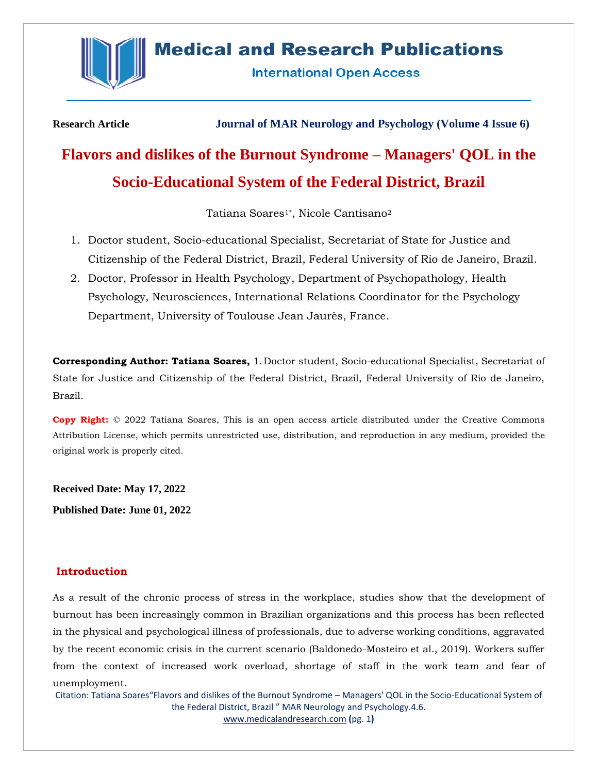

## **Medical and Research Publications**

**International Open Access** 

**Research Article Journal of MAR Neurology and Psychology (Volume 4 Issue 6)**

# **Flavors and dislikes of the Burnout Syndrome – Managers' QOL in the Socio-Educational System of the Federal District, Brazil**

Tatiana Soares<sup>1\*</sup>, Nicole Cantisano<sup>2</sup>

- 1. Doctor student, Socio-educational Specialist, Secretariat of State for Justice and Citizenship of the Federal District, Brazil, Federal University of Rio de Janeiro, Brazil.
- 2. Doctor, Professor in Health Psychology, Department of Psychopathology, Health Psychology, Neurosciences, International Relations Coordinator for the Psychology Department, University of Toulouse Jean Jaurès, France.

**Corresponding Author: Tatiana Soares,** 1.Doctor student, Socio-educational Specialist, Secretariat of State for Justice and Citizenship of the Federal District, Brazil, Federal University of Rio de Janeiro, Brazil.

**Copy Right:** © 2022 Tatiana Soares, This is an open access article distributed under the Creative Commons Attribution License, which permits unrestricted use, distribution, and reproduction in any medium, provided the original work is properly cited.

**Received Date: May 17, 2022**

**Published Date: June 01, 2022**

## **Introduction**

As a result of the chronic process of stress in the workplace, studies show that the development of burnout has been increasingly common in Brazilian organizations and this process has been reflected in the physical and psychological illness of professionals, due to adverse working conditions, aggravated by the recent economic crisis in the current scenario (Baldonedo-Mosteiro et al., 2019). Workers suffer from the context of increased work overload, shortage of staff in the work team and fear of unemployment.

Citation: Tatiana Soares"Flavors and dislikes of the Burnout Syndrome – Managers' QOL in the Socio-Educational System of the Federal District, Brazil " MAR Neurology and Psychology.4.6. [www.medicalandresearch.com](http://www.medicalandresearch.com/) **(**pg. 1**)**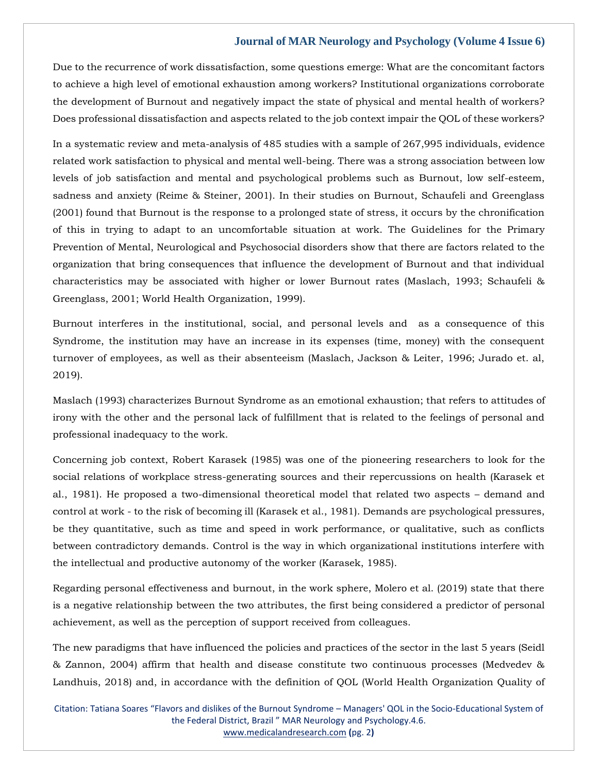Due to the recurrence of work dissatisfaction, some questions emerge: What are the concomitant factors to achieve a high level of emotional exhaustion among workers? Institutional organizations corroborate the development of Burnout and negatively impact the state of physical and mental health of workers? Does professional dissatisfaction and aspects related to the job context impair the QOL of these workers?

In a systematic review and meta-analysis of 485 studies with a sample of 267,995 individuals, evidence related work satisfaction to physical and mental well-being. There was a strong association between low levels of job satisfaction and mental and psychological problems such as Burnout, low self-esteem, sadness and anxiety (Reime & Steiner, 2001). In their studies on Burnout, Schaufeli and Greenglass (2001) found that Burnout is the response to a prolonged state of stress, it occurs by the chronification of this in trying to adapt to an uncomfortable situation at work. The Guidelines for the Primary Prevention of Mental, Neurological and Psychosocial disorders show that there are factors related to the organization that bring consequences that influence the development of Burnout and that individual characteristics may be associated with higher or lower Burnout rates (Maslach, 1993; Schaufeli & Greenglass, 2001; World Health Organization, 1999).

Burnout interferes in the institutional, social, and personal levels and as a consequence of this Syndrome, the institution may have an increase in its expenses (time, money) with the consequent turnover of employees, as well as their absenteeism (Maslach, Jackson & Leiter, 1996; Jurado et. al, 2019).

Maslach (1993) characterizes Burnout Syndrome as an emotional exhaustion; that refers to attitudes of irony with the other and the personal lack of fulfillment that is related to the feelings of personal and professional inadequacy to the work.

Concerning job context, Robert Karasek (1985) was one of the pioneering researchers to look for the social relations of workplace stress-generating sources and their repercussions on health (Karasek et al., 1981). He proposed a two-dimensional theoretical model that related two aspects – demand and control at work - to the risk of becoming ill (Karasek et al., 1981). Demands are psychological pressures, be they quantitative, such as time and speed in work performance, or qualitative, such as conflicts between contradictory demands. Control is the way in which organizational institutions interfere with the intellectual and productive autonomy of the worker (Karasek, 1985).

Regarding personal effectiveness and burnout, in the work sphere, Molero et al. (2019) state that there is a negative relationship between the two attributes, the first being considered a predictor of personal achievement, as well as the perception of support received from colleagues.

The new paradigms that have influenced the policies and practices of the sector in the last 5 years (Seidl & Zannon, 2004) affirm that health and disease constitute two continuous processes (Medvedev & Landhuis, 2018) and, in accordance with the definition of QOL (World Health Organization Quality of

Citation: Tatiana Soares "Flavors and dislikes of the Burnout Syndrome – Managers' QOL in the Socio-Educational System of the Federal District, Brazil " MAR Neurology and Psychology.4.6. [www.medicalandresearch.com](http://www.medicalandresearch.com/) **(**pg. 2**)**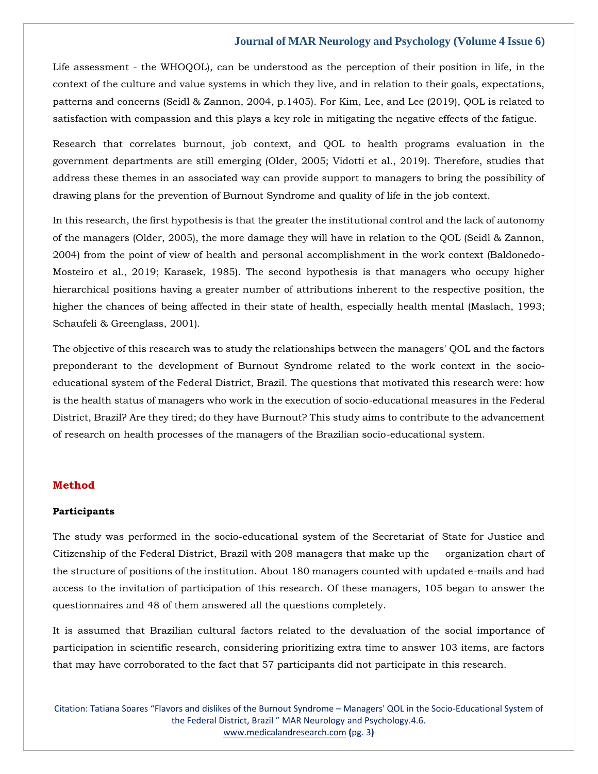Life assessment - the WHOQOL), can be understood as the perception of their position in life, in the context of the culture and value systems in which they live, and in relation to their goals, expectations, patterns and concerns (Seidl & Zannon, 2004, p.1405). For Kim, Lee, and Lee (2019), QOL is related to satisfaction with compassion and this plays a key role in mitigating the negative effects of the fatigue.

Research that correlates burnout, job context, and QOL to health programs evaluation in the government departments are still emerging (Older, 2005; Vidotti et al., 2019). Therefore, studies that address these themes in an associated way can provide support to managers to bring the possibility of drawing plans for the prevention of Burnout Syndrome and quality of life in the job context.

In this research, the first hypothesis is that the greater the institutional control and the lack of autonomy of the managers (Older, 2005), the more damage they will have in relation to the QOL (Seidl & Zannon, 2004) from the point of view of health and personal accomplishment in the work context (Baldonedo-Mosteiro et al., 2019; Karasek, 1985). The second hypothesis is that managers who occupy higher hierarchical positions having a greater number of attributions inherent to the respective position, the higher the chances of being affected in their state of health, especially health mental (Maslach, 1993; Schaufeli & Greenglass, 2001).

The objective of this research was to study the relationships between the managers' QOL and the factors preponderant to the development of Burnout Syndrome related to the work context in the socioeducational system of the Federal District, Brazil. The questions that motivated this research were: how is the health status of managers who work in the execution of socio-educational measures in the Federal District, Brazil? Are they tired; do they have Burnout? This study aims to contribute to the advancement of research on health processes of the managers of the Brazilian socio-educational system.

#### **Method**

## **Participants**

The study was performed in the socio-educational system of the Secretariat of State for Justice and Citizenship of the Federal District, Brazil with 208 managers that make up the organization chart of the structure of positions of the institution. About 180 managers counted with updated e-mails and had access to the invitation of participation of this research. Of these managers, 105 began to answer the questionnaires and 48 of them answered all the questions completely.

It is assumed that Brazilian cultural factors related to the devaluation of the social importance of participation in scientific research, considering prioritizing extra time to answer 103 items, are factors that may have corroborated to the fact that 57 participants did not participate in this research.

Citation: Tatiana Soares "Flavors and dislikes of the Burnout Syndrome – Managers' QOL in the Socio-Educational System of the Federal District, Brazil " MAR Neurology and Psychology.4.6. [www.medicalandresearch.com](http://www.medicalandresearch.com/) **(**pg. 3**)**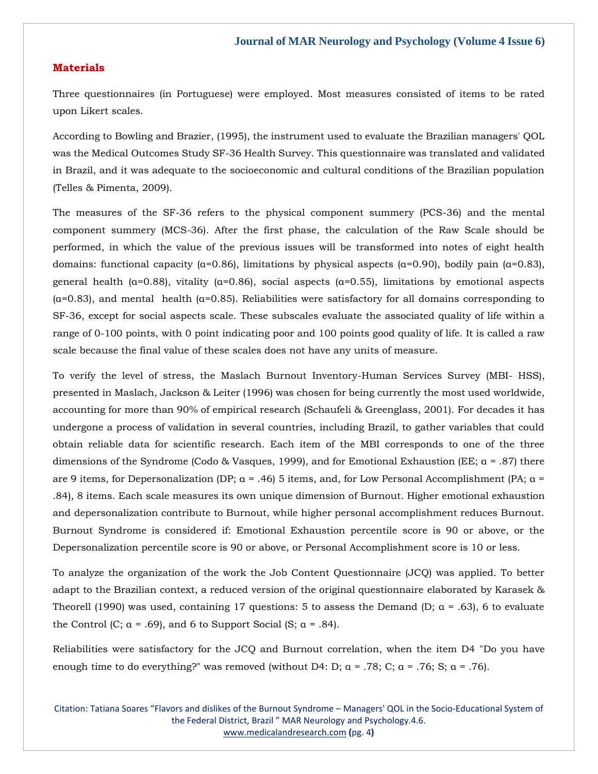## **Materials**

Three questionnaires (in Portuguese) were employed. Most measures consisted of items to be rated upon Likert scales.

According to Bowling and Brazier, (1995), the instrument used to evaluate the Brazilian managers' QOL was the Medical Outcomes Study SF-36 Health Survey. This questionnaire was translated and validated in Brazil, and it was adequate to the socioeconomic and cultural conditions of the Brazilian population (Telles & Pimenta, 2009).

The measures of the SF-36 refers to the physical component summery (PCS-36) and the mental component summery (MCS-36). After the first phase, the calculation of the Raw Scale should be performed, in which the value of the previous issues will be transformed into notes of eight health domains: functional capacity (α=0.86), limitations by physical aspects (α=0.90), bodily pain (α=0.83), general health ( $\alpha$ =0.88), vitality ( $\alpha$ =0.86), social aspects ( $\alpha$ =0.55), limitations by emotional aspects (α=0.83), and mental health (α=0.85). Reliabilities were satisfactory for all domains corresponding to SF-36, except for social aspects scale. These subscales evaluate the associated quality of life within a range of 0-100 points, with 0 point indicating poor and 100 points good quality of life. It is called a raw scale because the final value of these scales does not have any units of measure.

To verify the level of stress, the Maslach Burnout Inventory-Human Services Survey (MBI- HSS), presented in Maslach, Jackson & Leiter (1996) was chosen for being currently the most used worldwide, accounting for more than 90% of empirical research (Schaufeli & Greenglass, 2001). For decades it has undergone a process of validation in several countries, including Brazil, to gather variables that could obtain reliable data for scientific research. Each item of the MBI corresponds to one of the three dimensions of the Syndrome (Codo & Vasques, 1999), and for Emotional Exhaustion (EE;  $\alpha$  = .87) there are 9 items, for Depersonalization (DP;  $\alpha$  = .46) 5 items, and, for Low Personal Accomplishment (PA;  $\alpha$  = .84), 8 items. Each scale measures its own unique dimension of Burnout. Higher emotional exhaustion and depersonalization contribute to Burnout, while higher personal accomplishment reduces Burnout. Burnout Syndrome is considered if: Emotional Exhaustion percentile score is 90 or above, or the Depersonalization percentile score is 90 or above, or Personal Accomplishment score is 10 or less.

To analyze the organization of the work the Job Content Questionnaire (JCQ) was applied. To better adapt to the Brazilian context, a reduced version of the original questionnaire elaborated by Karasek & Theorell (1990) was used, containing 17 questions: 5 to assess the Demand (D;  $\alpha$  = .63), 6 to evaluate the Control (C;  $\alpha$  = .69), and 6 to Support Social (S;  $\alpha$  = .84).

Reliabilities were satisfactory for the JCQ and Burnout correlation, when the item D4 "Do you have enough time to do everything?" was removed (without D4: D;  $\alpha = .78$ ; C;  $\alpha = .76$ ; S;  $\alpha = .76$ ).

Citation: Tatiana Soares "Flavors and dislikes of the Burnout Syndrome – Managers' QOL in the Socio-Educational System of the Federal District, Brazil " MAR Neurology and Psychology.4.6. [www.medicalandresearch.com](http://www.medicalandresearch.com/) **(**pg. 4**)**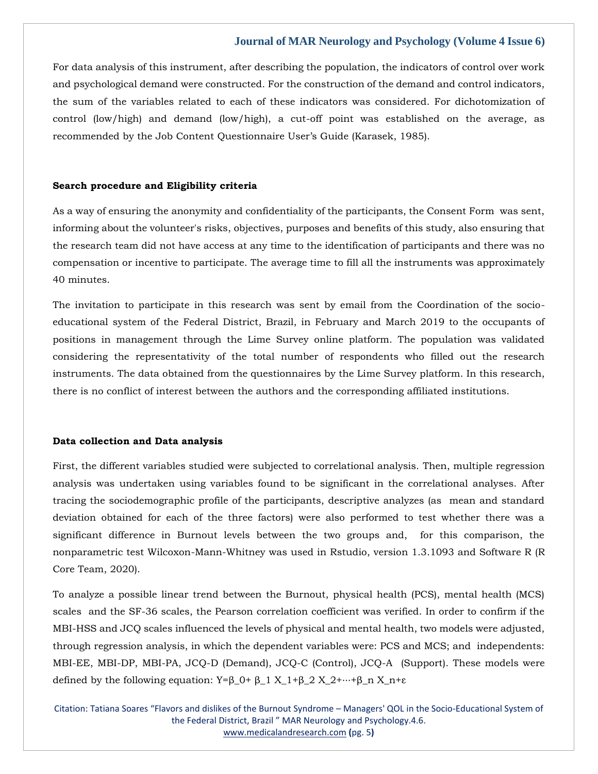For data analysis of this instrument, after describing the population, the indicators of control over work and psychological demand were constructed. For the construction of the demand and control indicators, the sum of the variables related to each of these indicators was considered. For dichotomization of control (low/high) and demand (low/high), a cut-off point was established on the average, as recommended by the Job Content Questionnaire User's Guide (Karasek, 1985).

#### **Search procedure and Eligibility criteria**

As a way of ensuring the anonymity and confidentiality of the participants, the Consent Form was sent, informing about the volunteer's risks, objectives, purposes and benefits of this study, also ensuring that the research team did not have access at any time to the identification of participants and there was no compensation or incentive to participate. The average time to fill all the instruments was approximately 40 minutes.

The invitation to participate in this research was sent by email from the Coordination of the socioeducational system of the Federal District, Brazil, in February and March 2019 to the occupants of positions in management through the Lime Survey online platform. The population was validated considering the representativity of the total number of respondents who filled out the research instruments. The data obtained from the questionnaires by the Lime Survey platform. In this research, there is no conflict of interest between the authors and the corresponding affiliated institutions.

#### **Data collection and Data analysis**

First, the different variables studied were subjected to correlational analysis. Then, multiple regression analysis was undertaken using variables found to be significant in the correlational analyses. After tracing the sociodemographic profile of the participants, descriptive analyzes (as mean and standard deviation obtained for each of the three factors) were also performed to test whether there was a significant difference in Burnout levels between the two groups and, for this comparison, the nonparametric test Wilcoxon-Mann-Whitney was used in Rstudio, version 1.3.1093 and Software R (R Core Team, 2020).

To analyze a possible linear trend between the Burnout, physical health (PCS), mental health (MCS) scales and the SF-36 scales, the Pearson correlation coefficient was verified. In order to confirm if the MBI-HSS and JCQ scales influenced the levels of physical and mental health, two models were adjusted, through regression analysis, in which the dependent variables were: PCS and MCS; and independents: MBI-EE, MBI-DP, MBI-PA, JCQ-D (Demand), JCQ-C (Control), JCQ-A (Support). These models were defined by the following equation:  $Y=\beta_0 + \beta_1 X_1+\beta_2 X_2+\cdots+\beta_n X_n+\epsilon$ 

Citation: Tatiana Soares "Flavors and dislikes of the Burnout Syndrome – Managers' QOL in the Socio-Educational System of the Federal District, Brazil " MAR Neurology and Psychology.4.6. [www.medicalandresearch.com](http://www.medicalandresearch.com/) **(**pg. 5**)**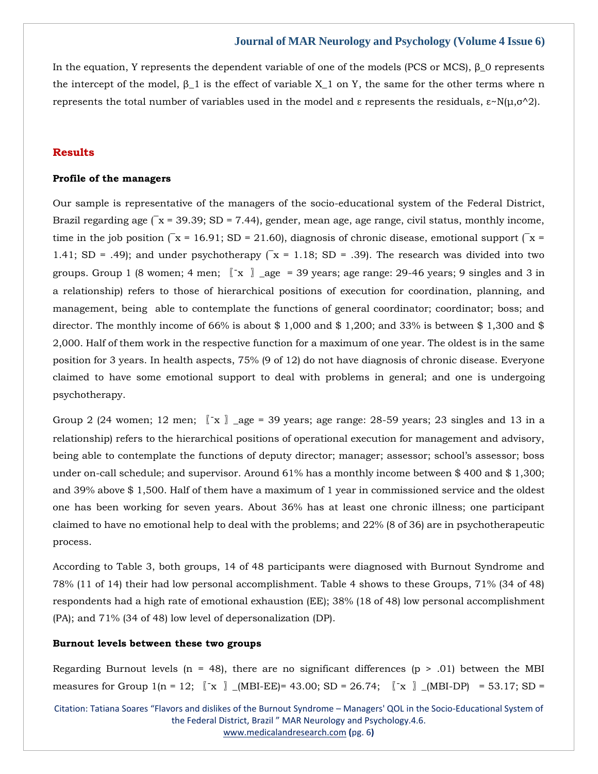In the equation, Y represents the dependent variable of one of the models (PCS or MCS), β 0 represents the intercept of the model,  $β_1$  is the effect of variable  $X_1$  on Y, the same for the other terms where n represents the total number of variables used in the model and ε represents the residuals,  $ε \sim N(\mu, σ \land 2)$ .

## **Results**

## **Profile of the managers**

Our sample is representative of the managers of the socio-educational system of the Federal District, Brazil regarding age  $\sqrt{x} = 39.39$ ; SD = 7.44), gender, mean age, age range, civil status, monthly income, time in the job position  $\sqrt{x} = 16.91$ ; SD = 21.60), diagnosis of chronic disease, emotional support  $\sqrt{x} =$ 1.41; SD = .49); and under psychotherapy  $\overline{(x} = 1.18;$  SD = .39). The research was divided into two groups. Group 1 (8 women; 4 men;  $\left[\begin{array}{cc} x \\ x \end{array}\right]$  \_age = 39 years; age range: 29-46 years; 9 singles and 3 in a relationship) refers to those of hierarchical positions of execution for coordination, planning, and management, being able to contemplate the functions of general coordinator; coordinator; boss; and director. The monthly income of 66% is about \$1,000 and \$1,200; and 33% is between \$1,300 and \$ 2,000. Half of them work in the respective function for a maximum of one year. The oldest is in the same position for 3 years. In health aspects, 75% (9 of 12) do not have diagnosis of chronic disease. Everyone claimed to have some emotional support to deal with problems in general; and one is undergoing psychotherapy.

Group 2 (24 women; 12 men;  $\mathbb{Z} \times \mathbb{Z}$  age = 39 years; age range: 28-59 years; 23 singles and 13 in a relationship) refers to the hierarchical positions of operational execution for management and advisory, being able to contemplate the functions of deputy director; manager; assessor; school's assessor; boss under on-call schedule; and supervisor. Around 61% has a monthly income between \$ 400 and \$ 1,300; and 39% above \$ 1,500. Half of them have a maximum of 1 year in commissioned service and the oldest one has been working for seven years. About 36% has at least one chronic illness; one participant claimed to have no emotional help to deal with the problems; and 22% (8 of 36) are in psychotherapeutic process.

According to Table 3, both groups, 14 of 48 participants were diagnosed with Burnout Syndrome and 78% (11 of 14) their had low personal accomplishment. Table 4 shows to these Groups, 71% (34 of 48) respondents had a high rate of emotional exhaustion (EE); 38% (18 of 48) low personal accomplishment (PA); and 71% (34 of 48) low level of depersonalization (DP).

#### **Burnout levels between these two groups**

Regarding Burnout levels (n = 48), there are no significant differences (p > .01) between the MBI measures for Group 1(n = 12;  $\[\mathbf{x}\]$  (MBI-EE)= 43.00; SD = 26.74;  $\[\mathbf{x}\]$  (MBI-DP) = 53.17; SD =

Citation: Tatiana Soares "Flavors and dislikes of the Burnout Syndrome – Managers' QOL in the Socio-Educational System of the Federal District, Brazil " MAR Neurology and Psychology.4.6. [www.medicalandresearch.com](http://www.medicalandresearch.com/) **(**pg. 6**)**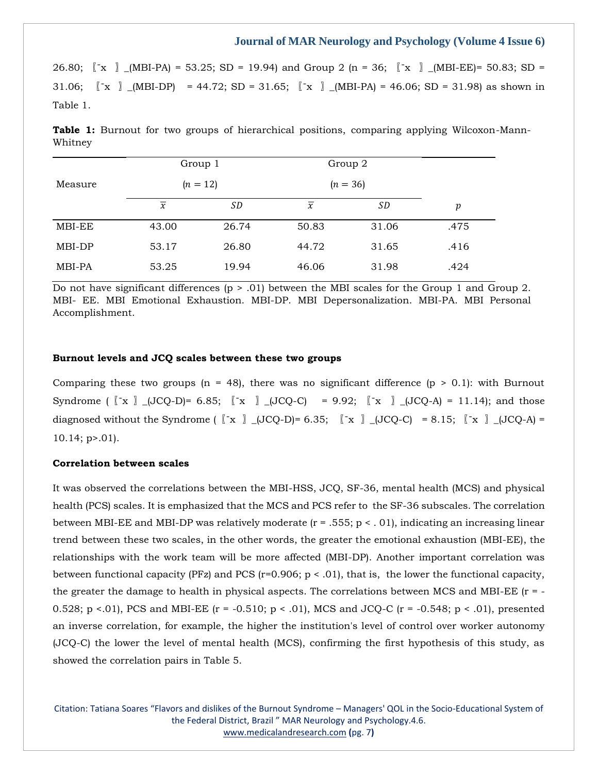26.80;  $\begin{bmatrix} x \\ y \end{bmatrix}$  (MBI-PA) = 53.25; SD = 19.94) and Group 2 (n = 36;  $\begin{bmatrix} x \\ y \end{bmatrix}$  (MBI-EE)= 50.83; SD = 31.06;  $\begin{bmatrix} x \\ y \end{bmatrix}$  (MBI-DP) = 44.72; SD = 31.65;  $\begin{bmatrix} x \\ x \end{bmatrix}$  (MBI-PA) = 46.06; SD = 31.98) as shown in Table 1.

**Table 1:** Burnout for two groups of hierarchical positions, comparing applying Wilcoxon-Mann-Whitney

|         | Group 1                  |            |                | Group 2 |                  |  |  |  |
|---------|--------------------------|------------|----------------|---------|------------------|--|--|--|
| Measure |                          | $(n = 12)$ | $(n = 36)$     |         |                  |  |  |  |
|         | $\overline{\mathcal{X}}$ | <i>SD</i>  | $\overline{x}$ | SD      | $\boldsymbol{p}$ |  |  |  |
| MBI-EE  | 43.00                    | 26.74      | 50.83          | 31.06   | .475             |  |  |  |
| MBI-DP  | 53.17                    | 26.80      | 44.72          | 31.65   | .416             |  |  |  |
| MBI-PA  | 53.25                    | 19.94      | 46.06          | 31.98   | .424             |  |  |  |

Do not have significant differences ( $p > .01$ ) between the MBI scales for the Group 1 and Group 2. MBI- EE. MBI Emotional Exhaustion. MBI-DP. MBI Depersonalization. MBI-PA. MBI Personal Accomplishment.

#### **Burnout levels and JCQ scales between these two groups**

Comparing these two groups (n = 48), there was no significant difference (p  $> 0.1$ ): with Burnout Syndrome  $\begin{bmatrix} x \\ x \end{bmatrix}$   $\begin{bmatrix} JCQ-D \end{bmatrix} = 6.85; \begin{bmatrix} x \\ x \end{bmatrix}$   $\begin{bmatrix} JCQ-C \end{bmatrix} = 9.92; \begin{bmatrix} x \\ x \end{bmatrix}$   $\begin{bmatrix} JCQ-A \end{bmatrix} = 11.14;$  and those diagnosed without the Syndrome ( $\begin{bmatrix} \begin{bmatrix} x \\ y \end{bmatrix}$   $\begin{bmatrix} JCQ-D \end{bmatrix} = 6.35; \begin{bmatrix} x \\ x \end{bmatrix}$   $\begin{bmatrix} JCQ-C \end{bmatrix} = 8.15; \begin{bmatrix} \begin{bmatrix} x \\ y \end{bmatrix}$   $\begin{bmatrix} JCQ-A \end{bmatrix} =$ 10.14; p>.01).

## **Correlation between scales**

It was observed the correlations between the MBI-HSS, JCQ, SF-36, mental health (MCS) and physical health (PCS) scales. It is emphasized that the MCS and PCS refer to the SF-36 subscales. The correlation between MBI-EE and MBI-DP was relatively moderate  $(r = .555; p < .01)$ , indicating an increasing linear trend between these two scales, in the other words, the greater the emotional exhaustion (MBI-EE), the relationships with the work team will be more affected (MBI-DP). Another important correlation was between functional capacity (PFz) and PCS ( $r=0.906$ ;  $p < .01$ ), that is, the lower the functional capacity, the greater the damage to health in physical aspects. The correlations between MCS and MBI-EE ( $r = -$ 0.528; p <.01), PCS and MBI-EE (r = -0.510; p < .01), MCS and JCQ-C (r = -0.548; p < .01), presented an inverse correlation, for example, the higher the institution's level of control over worker autonomy (JCQ-C) the lower the level of mental health (MCS), confirming the first hypothesis of this study, as showed the correlation pairs in Table 5.

Citation: Tatiana Soares "Flavors and dislikes of the Burnout Syndrome – Managers' QOL in the Socio-Educational System of the Federal District, Brazil " MAR Neurology and Psychology.4.6. [www.medicalandresearch.com](http://www.medicalandresearch.com/) **(**pg. 7**)**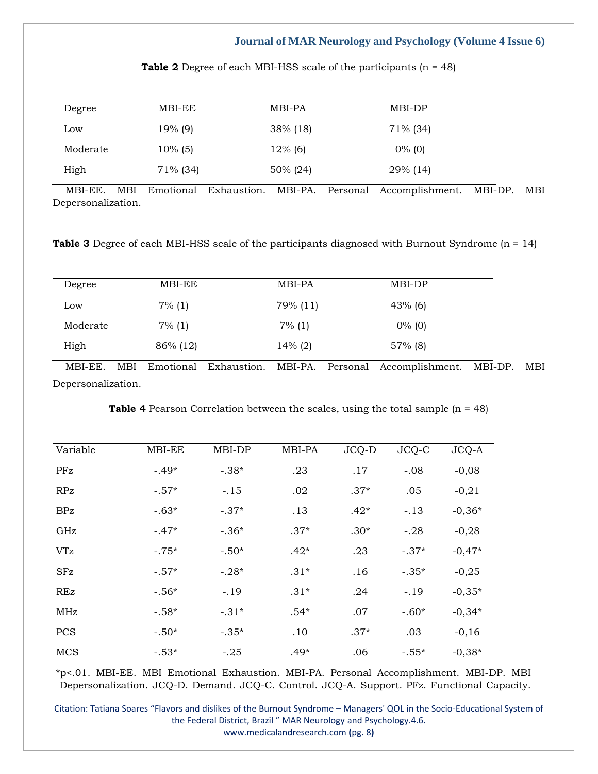| Degree   | MBI-EE     | MBI-PA      | MBI-DP    |
|----------|------------|-------------|-----------|
| Low      | 19% (9)    | $38\%$ (18) | 71% (34)  |
| Moderate | $10\%$ (5) | $12\%$ (6)  | $0\%$ (0) |
| High     | 71% (34)   | 50% (24)    | 29% (14)  |

**Table 2** Degree of each MBI-HSS scale of the participants (n = 48)

 MBI-EE. MBI Emotional Exhaustion. MBI-PA. Personal Accomplishment. MBI-DP. MBI Depersonalization.

**Table 3** Degree of each MBI-HSS scale of the participants diagnosed with Burnout Syndrome (n = 14)

| Degree   | MBI-EE    | MBI-PA     | MBI-DP     |  |
|----------|-----------|------------|------------|--|
| Low      | $7\%$ (1) | 79% (11)   | $43\%$ (6) |  |
| Moderate | $7\%$ (1) | $7\%$ (1)  | $0\%$ (0)  |  |
| High     | 86% (12)  | $14\%$ (2) | $57\%$ (8) |  |

 MBI-EE. MBI Emotional Exhaustion. MBI-PA. Personal Accomplishment. MBI-DP. MBI Depersonalization.

|  | <b>Table 4</b> Pearson Correlation between the scales, using the total sample $(n = 48)$ |  |  |  |  |
|--|------------------------------------------------------------------------------------------|--|--|--|--|
|  |                                                                                          |  |  |  |  |

| Variable   | MBI-EE  | MBI-DP  | MBI-PA | JCQ-D  | JCQ-C   | JCQ-A    |
|------------|---------|---------|--------|--------|---------|----------|
| PFz        | $-.49*$ | $-.38*$ | .23    | .17    | $-.08$  | $-0,08$  |
| <b>RPz</b> | $-.57*$ | $-.15$  | .02    | $.37*$ | .05     | $-0,21$  |
| <b>BPz</b> | $-.63*$ | $-.37*$ | .13    | $.42*$ | $-.13$  | $-0,36*$ |
| GHz        | $-.47*$ | $-.36*$ | $.37*$ | $.30*$ | $-.28$  | $-0,28$  |
| <b>VTz</b> | $-.75*$ | $-.50*$ | $.42*$ | .23    | $-.37*$ | $-0,47*$ |
| <b>SFz</b> | $-.57*$ | $-.28*$ | $.31*$ | .16    | $-.35*$ | $-0,25$  |
| <b>REz</b> | $-.56*$ | $-.19$  | $.31*$ | .24    | $-.19$  | $-0.35*$ |
| MHz        | $-.58*$ | $-.31*$ | $.54*$ | .07    | $-.60*$ | $-0.34*$ |
| <b>PCS</b> | $-.50*$ | $-.35*$ | .10    | $.37*$ | .03     | $-0,16$  |
| <b>MCS</b> | $-.53*$ | $-.25$  | $.49*$ | .06    | $-.55*$ | $-0,38*$ |

\*p<.01. MBI-EE. MBI Emotional Exhaustion. MBI-PA. Personal Accomplishment. MBI-DP. MBI Depersonalization. JCQ-D. Demand. JCQ-C. Control. JCQ-A. Support. PFz. Functional Capacity.

Citation: Tatiana Soares "Flavors and dislikes of the Burnout Syndrome – Managers' QOL in the Socio-Educational System of the Federal District, Brazil " MAR Neurology and Psychology.4.6. [www.medicalandresearch.com](http://www.medicalandresearch.com/) **(**pg. 8**)**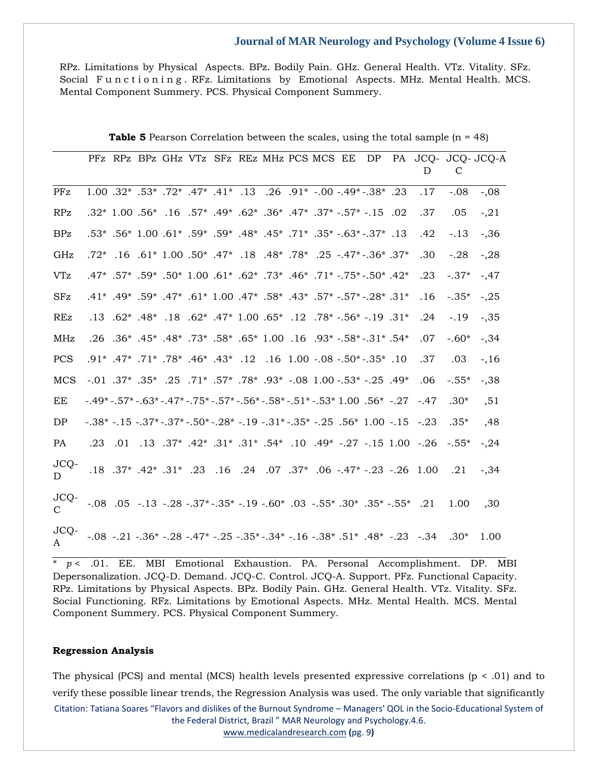RPz. Limitations by Physical Aspects. BPz. Bodily Pain. GHz. General Health. VTz. Vitality. SFz. Social Functioning. RFz. Limitations by Emotional Aspects. MHz. Mental Health. MCS. Mental Component Summery. PCS. Physical Component Summery.

|             |                                                                                                                      |         |  |  |  | PFz RPz BPz GHz VTz SFz REz MHz PCS MCS EE | DP                                                                                                              | D                                                                                                                               | C       | PA JCQ- JCQ- JCQ-A |
|-------------|----------------------------------------------------------------------------------------------------------------------|---------|--|--|--|--------------------------------------------|-----------------------------------------------------------------------------------------------------------------|---------------------------------------------------------------------------------------------------------------------------------|---------|--------------------|
| <b>PFz</b>  |                                                                                                                      |         |  |  |  |                                            | 1.00 .32* .53* .72* .41* .13 .26 .91* .00 .49* .38* .23                                                         | .17                                                                                                                             | $-.08$  | $-.08$             |
| RPz         |                                                                                                                      |         |  |  |  |                                            | .02. 15. - *57. - *37. *47. *36. *49. *49. *49. 57. 16. *56. 100. *32.                                          | .37                                                                                                                             | .05     | $-21$              |
| <b>BPz</b>  |                                                                                                                      |         |  |  |  |                                            | $.53^*$ .56* $1.00$ .61* .59* .59* .48* .45* .71* .53* .63* .37* .53.                                           | .42                                                                                                                             | $-.13$  | $-36$              |
| GHz         |                                                                                                                      |         |  |  |  |                                            | 37* 36. -*47* - 25. *78* .88. *18. *47* -18. *07. 01. *17. *07.                                                 | .30                                                                                                                             | $-.28$  | $-28$              |
| ${\rm VTz}$ |                                                                                                                      |         |  |  |  |                                            | .42* .50* .50* .73* .40* .73* .46* .73* .46* .75* .50* .57* .59* .57* .47*                                      | .23                                                                                                                             | $-.37*$ | $-0.47$            |
| <b>SFz</b>  |                                                                                                                      |         |  |  |  |                                            | .41* .49* .57* .57* .57* .43* .58* .43* .57* .49* .49* .49* .49* .49*                                           | .16                                                                                                                             | $-.35*$ | $-.25$             |
| <b>REz</b>  |                                                                                                                      |         |  |  |  |                                            | $.13$ .62* .48* .18. $.62*$ .47* 1.00. $.65*$ .12. 78* .56* .19. 13.                                            | .24                                                                                                                             | $-.19$  | $-0.35$            |
| MHz         |                                                                                                                      |         |  |  |  |                                            |                                                                                                                 | .07                                                                                                                             | $-.60*$ | $-34$              |
| <b>PCS</b>  |                                                                                                                      |         |  |  |  |                                            | .91. *35.- *50. - 08. - 1.00. 1.00. 11. *43. *46. *78. *71. *91. *91.                                           | .37                                                                                                                             | .03     | $-16$              |
| <b>MCS</b>  |                                                                                                                      |         |  |  |  |                                            | $-0.01$ .37* .35* .25 .71* .57* .78* .93* -08 1.00 -.53* -.25 .49*                                              | .06                                                                                                                             | $-.55*$ | $-38$              |
| EE          |                                                                                                                      |         |  |  |  |                                            | $-0.49* -0.57* -0.63* -0.47* -0.75* -0.57* -0.56* -0.58* -0.51* -0.53* 1.00$                                    |                                                                                                                                 | $.30*$  | ,51                |
| DP          | $-0.38$ * $-0.15$ $-0.37$ * $-0.50$ * $-0.28$ * $-0.19$ $-0.31$ * $-0.35$ * $-0.25$ $-0.56$ * $1.00$ $-0.15$ $-0.23$ |         |  |  |  |                                            |                                                                                                                 |                                                                                                                                 | $.35*$  | ,48                |
| PA          |                                                                                                                      | .23 .01 |  |  |  |                                            |                                                                                                                 | .13. - 1.00. -26. -27. -49. 10. *54. -27. *31. *31. *42. 54. .13. .13.                                                          | $-.55*$ | $-24$              |
| JCQ-<br>D   |                                                                                                                      |         |  |  |  |                                            |                                                                                                                 | .18 .37* .42* .31* .24 .07 .37* .06 .47* -.23 .26 .00                                                                           | .21     | $-34$              |
| JCQ-        |                                                                                                                      |         |  |  |  |                                            | $-0.08$ $0.05$ $-0.13$ $-0.28$ $-0.37$ * $-0.35$ * $-0.19$ $-0.60$ * $0.03$ $-0.55$ * $0.35$ * $-0.55$ * $0.21$ |                                                                                                                                 | 1.00    | ,30                |
| JCQ-<br>A   |                                                                                                                      |         |  |  |  |                                            |                                                                                                                 | $-0.08$ $-0.21$ $-0.36$ $-0.28$ $-0.47$ $-0.25$ $-0.35$ $-0.34$ $-0.16$ $-0.38$ $-0.51$ $-0.48$ $-0.23$ $-0.34$ $-0.30$ $-0.30$ |         | 1.00               |

**Table 5** Pearson Correlation between the scales, using the total sample (n = 48)

 $*$   $p < .01$ . EE. MBI Emotional Exhaustion. PA. Personal Accomplishment. DP. MBI Depersonalization. JCQ-D. Demand. JCQ-C. Control. JCQ-A. Support. PFz. Functional Capacity. RPz. Limitations by Physical Aspects. BPz. Bodily Pain. GHz. General Health. VTz. Vitality. SFz. Social Functioning. RFz. Limitations by Emotional Aspects. MHz. Mental Health. MCS. Mental Component Summery. PCS. Physical Component Summery.

## **Regression Analysis**

Citation: Tatiana Soares "Flavors and dislikes of the Burnout Syndrome – Managers' QOL in the Socio-Educational System of the Federal District, Brazil " MAR Neurology and Psychology.4.6. [www.medicalandresearch.com](http://www.medicalandresearch.com/) **(**pg. 9**)** The physical (PCS) and mental (MCS) health levels presented expressive correlations ( $p < .01$ ) and to verify these possible linear trends, the Regression Analysis was used. The only variable that significantly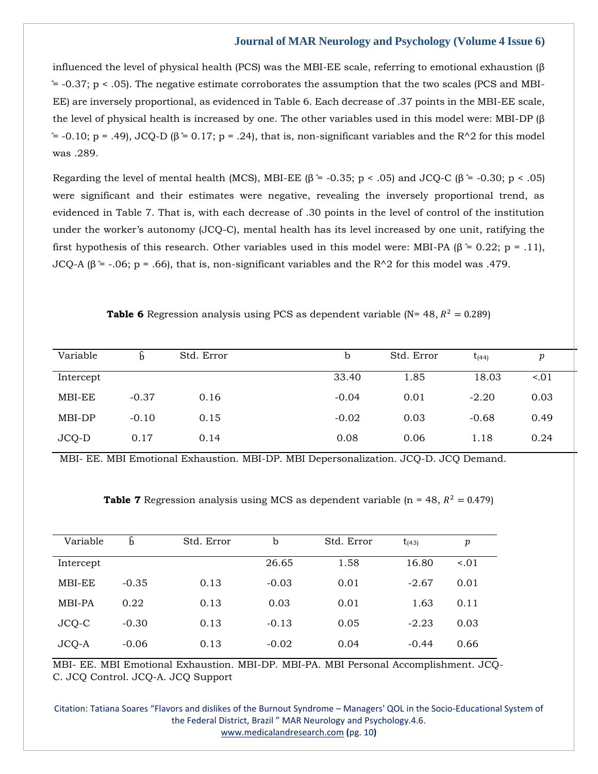influenced the level of physical health (PCS) was the MBI-EE scale, referring to emotional exhaustion (β  $\approx$  -0.37; p < .05). The negative estimate corroborates the assumption that the two scales (PCS and MBI-EE) are inversely proportional, as evidenced in Table 6. Each decrease of .37 points in the MBI-EE scale, the level of physical health is increased by one. The other variables used in this model were: MBI-DP (β  $^{\circ}$  = -0.10; p = .49), JCQ-D (β  $\dot{=}$  0.17; p = .24), that is, non-significant variables and the R^2 for this model was .289.

Regarding the level of mental health (MCS), MBI-EE ( $\beta$  = -0.35; p < .05) and JCQ-C ( $\beta$  = -0.30; p < .05) were significant and their estimates were negative, revealing the inversely proportional trend, as evidenced in Table 7. That is, with each decrease of .30 points in the level of control of the institution under the worker's autonomy (JCQ-C), mental health has its level increased by one unit, ratifying the first hypothesis of this research. Other variables used in this model were: MBI-PA (β  $\approx$  0.22; p = .11), JCQ-A ( $\beta$  = -.06; p = .66), that is, non-significant variables and the R^2 for this model was .479.

| <b>Table 6</b> Regression analysis using PCS as dependent variable (N= 48, $R^2 = 0.289$ ) |  |
|--------------------------------------------------------------------------------------------|--|
|                                                                                            |  |
|                                                                                            |  |

| Variable  |         | Std. Error | b       | Std. Error | $t_{(44)}$ | p    |  |
|-----------|---------|------------|---------|------------|------------|------|--|
| Intercept |         |            | 33.40   | 1.85       | 18.03      | 501  |  |
| MBI-EE    | $-0.37$ | 0.16       | $-0.04$ | 0.01       | $-2.20$    | 0.03 |  |
| MBI-DP    | $-0.10$ | 0.15       | $-0.02$ | 0.03       | $-0.68$    | 0.49 |  |
| JCQ-D     | 0.17    | 0.14       | 0.08    | 0.06       | 1.18       | 0.24 |  |

MBI- EE. MBI Emotional Exhaustion. MBI-DP. MBI Depersonalization. JCQ-D. JCQ Demand.

|  |  |  |  |  |  | <b>Table 7</b> Regression analysis using MCS as dependent variable ( $n = 48$ , $R^2 = 0.479$ ) |
|--|--|--|--|--|--|-------------------------------------------------------------------------------------------------|
|--|--|--|--|--|--|-------------------------------------------------------------------------------------------------|

| Variable  | ĥ       | Std. Error | b       | Std. Error | $t_{(43)}$ | p         |
|-----------|---------|------------|---------|------------|------------|-----------|
| Intercept |         |            | 26.65   | 1.58       | 16.80      | $15 - 01$ |
|           |         |            |         |            |            |           |
| MBI-EE    | $-0.35$ | 0.13       | $-0.03$ | 0.01       | $-2.67$    | 0.01      |
| MBI-PA    | 0.22    | 0.13       | 0.03    | 0.01       | 1.63       | 0.11      |
| JCQ-C     | $-0.30$ | 0.13       | $-0.13$ | 0.05       | $-2.23$    | 0.03      |
| JCQ-A     | $-0.06$ | 0.13       | $-0.02$ | 0.04       | $-0.44$    | 0.66      |

MBI- EE. MBI Emotional Exhaustion. MBI-DP. MBI-PA. MBI Personal Accomplishment. JCQ-C. JCQ Control. JCQ-A. JCQ Support

Citation: Tatiana Soares "Flavors and dislikes of the Burnout Syndrome – Managers' QOL in the Socio-Educational System of the Federal District, Brazil " MAR Neurology and Psychology.4.6. [www.medicalandresearch.com](http://www.medicalandresearch.com/) **(**pg. 10**)**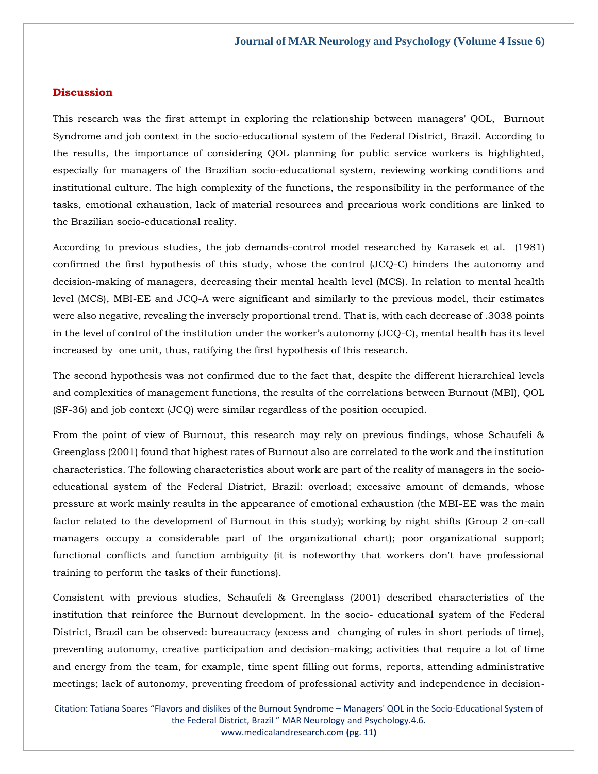## **Discussion**

This research was the first attempt in exploring the relationship between managers' QOL, Burnout Syndrome and job context in the socio-educational system of the Federal District, Brazil. According to the results, the importance of considering QOL planning for public service workers is highlighted, especially for managers of the Brazilian socio-educational system, reviewing working conditions and institutional culture. The high complexity of the functions, the responsibility in the performance of the tasks, emotional exhaustion, lack of material resources and precarious work conditions are linked to the Brazilian socio-educational reality.

According to previous studies, the job demands-control model researched by Karasek et al. (1981) confirmed the first hypothesis of this study, whose the control (JCQ-C) hinders the autonomy and decision-making of managers, decreasing their mental health level (MCS). In relation to mental health level (MCS), MBI-EE and JCQ-A were significant and similarly to the previous model, their estimates were also negative, revealing the inversely proportional trend. That is, with each decrease of .3038 points in the level of control of the institution under the worker's autonomy (JCQ-C), mental health has its level increased by one unit, thus, ratifying the first hypothesis of this research.

The second hypothesis was not confirmed due to the fact that, despite the different hierarchical levels and complexities of management functions, the results of the correlations between Burnout (MBI), QOL (SF-36) and job context (JCQ) were similar regardless of the position occupied.

From the point of view of Burnout, this research may rely on previous findings, whose Schaufeli & Greenglass (2001) found that highest rates of Burnout also are correlated to the work and the institution characteristics. The following characteristics about work are part of the reality of managers in the socioeducational system of the Federal District, Brazil: overload; excessive amount of demands, whose pressure at work mainly results in the appearance of emotional exhaustion (the MBI-EE was the main factor related to the development of Burnout in this study); working by night shifts (Group 2 on-call managers occupy a considerable part of the organizational chart); poor organizational support; functional conflicts and function ambiguity (it is noteworthy that workers don't have professional training to perform the tasks of their functions).

Consistent with previous studies, Schaufeli & Greenglass (2001) described characteristics of the institution that reinforce the Burnout development. In the socio- educational system of the Federal District, Brazil can be observed: bureaucracy (excess and changing of rules in short periods of time), preventing autonomy, creative participation and decision-making; activities that require a lot of time and energy from the team, for example, time spent filling out forms, reports, attending administrative meetings; lack of autonomy, preventing freedom of professional activity and independence in decision-

Citation: Tatiana Soares "Flavors and dislikes of the Burnout Syndrome – Managers' QOL in the Socio-Educational System of the Federal District, Brazil " MAR Neurology and Psychology.4.6. [www.medicalandresearch.com](http://www.medicalandresearch.com/) **(**pg. 11**)**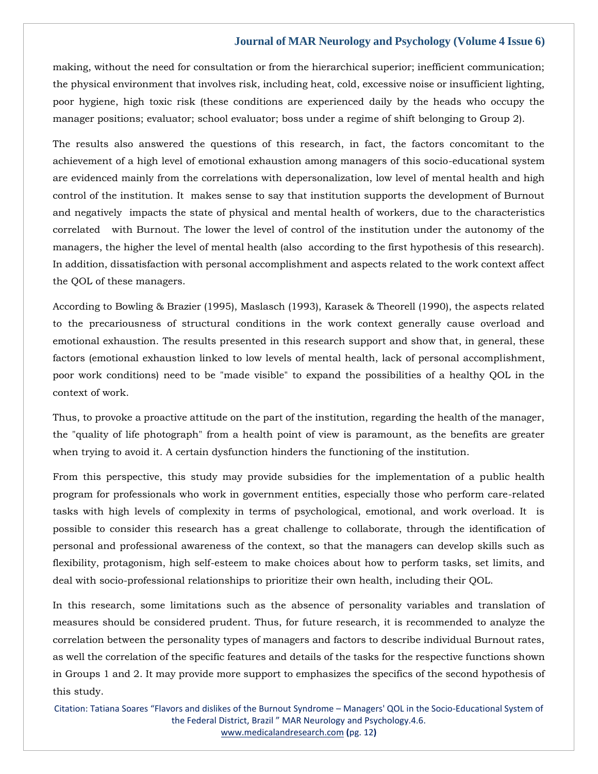making, without the need for consultation or from the hierarchical superior; inefficient communication; the physical environment that involves risk, including heat, cold, excessive noise or insufficient lighting, poor hygiene, high toxic risk (these conditions are experienced daily by the heads who occupy the manager positions; evaluator; school evaluator; boss under a regime of shift belonging to Group 2).

The results also answered the questions of this research, in fact, the factors concomitant to the achievement of a high level of emotional exhaustion among managers of this socio-educational system are evidenced mainly from the correlations with depersonalization, low level of mental health and high control of the institution. It makes sense to say that institution supports the development of Burnout and negatively impacts the state of physical and mental health of workers, due to the characteristics correlated with Burnout. The lower the level of control of the institution under the autonomy of the managers, the higher the level of mental health (also according to the first hypothesis of this research). In addition, dissatisfaction with personal accomplishment and aspects related to the work context affect the QOL of these managers.

According to Bowling & Brazier (1995), Maslasch (1993), Karasek & Theorell (1990), the aspects related to the precariousness of structural conditions in the work context generally cause overload and emotional exhaustion. The results presented in this research support and show that, in general, these factors (emotional exhaustion linked to low levels of mental health, lack of personal accomplishment, poor work conditions) need to be "made visible" to expand the possibilities of a healthy QOL in the context of work.

Thus, to provoke a proactive attitude on the part of the institution, regarding the health of the manager, the "quality of life photograph" from a health point of view is paramount, as the benefits are greater when trying to avoid it. A certain dysfunction hinders the functioning of the institution.

From this perspective, this study may provide subsidies for the implementation of a public health program for professionals who work in government entities, especially those who perform care-related tasks with high levels of complexity in terms of psychological, emotional, and work overload. It is possible to consider this research has a great challenge to collaborate, through the identification of personal and professional awareness of the context, so that the managers can develop skills such as flexibility, protagonism, high self-esteem to make choices about how to perform tasks, set limits, and deal with socio-professional relationships to prioritize their own health, including their QOL.

In this research, some limitations such as the absence of personality variables and translation of measures should be considered prudent. Thus, for future research, it is recommended to analyze the correlation between the personality types of managers and factors to describe individual Burnout rates, as well the correlation of the specific features and details of the tasks for the respective functions shown in Groups 1 and 2. It may provide more support to emphasizes the specifics of the second hypothesis of this study.

Citation: Tatiana Soares "Flavors and dislikes of the Burnout Syndrome – Managers' QOL in the Socio-Educational System of the Federal District, Brazil " MAR Neurology and Psychology.4.6. [www.medicalandresearch.com](http://www.medicalandresearch.com/) **(**pg. 12**)**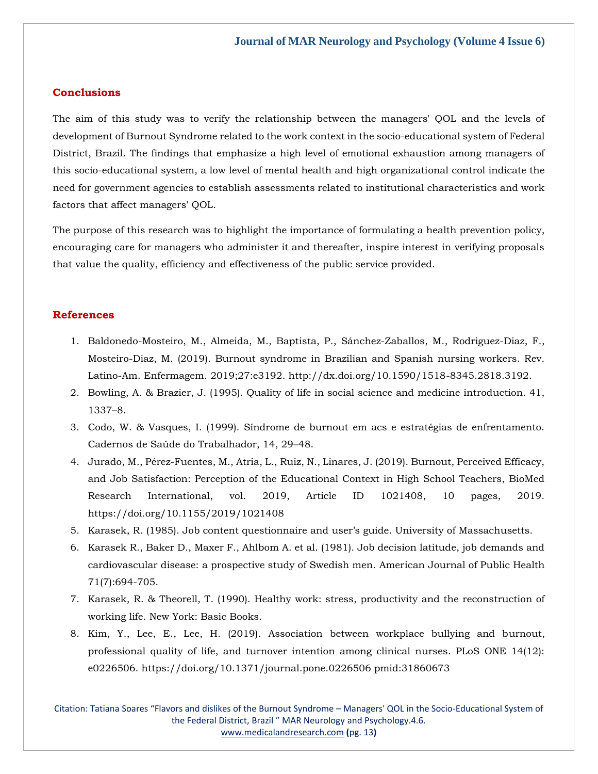## **Conclusions**

The aim of this study was to verify the relationship between the managers' QOL and the levels of development of Burnout Syndrome related to the work context in the socio-educational system of Federal District, Brazil. The findings that emphasize a high level of emotional exhaustion among managers of this socio-educational system, a low level of mental health and high organizational control indicate the need for government agencies to establish assessments related to institutional characteristics and work factors that affect managers' QOL.

The purpose of this research was to highlight the importance of formulating a health prevention policy, encouraging care for managers who administer it and thereafter, inspire interest in verifying proposals that value the quality, efficiency and effectiveness of the public service provided.

## **References**

- 1. Baldonedo-Mosteiro, M., Almeida, M., Baptista, P., Sánchez-Zaballos, M., Rodriguez-Diaz, F., Mosteiro-Diaz, M. (2019). Burnout syndrome in Brazilian and Spanish nursing workers. Rev. Latino-Am. Enfermagem. 2019;27:e3192. http://dx.doi.org/10.1590/1518-8345.2818.3192.
- 2. Bowling, A. & Brazier, J. (1995). Quality of life in social science and medicine introduction. 41, 1337–8.
- 3. Codo, W. & Vasques, I. (1999). Síndrome de burnout em acs e estratégias de enfrentamento. Cadernos de Saúde do Trabalhador, 14, 29–48.
- 4. Jurado, M., Pérez-Fuentes, M., Atria, L., Ruiz, N., Linares, J. (2019). Burnout, Perceived Efficacy, and Job Satisfaction: Perception of the Educational Context in High School Teachers, BioMed Research International, vol. 2019, Article ID 1021408, 10 pages, 2019. https://doi.org/10.1155/2019/1021408
- 5. Karasek, R. (1985). Job content questionnaire and user's guide. University of Massachusetts.
- 6. Karasek R., Baker D., Maxer F., Ahlbom A. et al. (1981). Job decision latitude, job demands and cardiovascular disease: a prospective study of Swedish men. American Journal of Public Health 71(7):694-705.
- 7. Karasek, R. & Theorell, T. (1990). Healthy work: stress, productivity and the reconstruction of working life. New York: Basic Books.
- 8. Kim, Y., Lee, E., Lee, H. (2019). Association between workplace bullying and burnout, professional quality of life, and turnover intention among clinical nurses. PLoS ONE 14(12): e0226506. https://doi.org/10.1371/journal.pone.0226506 pmid:31860673

Citation: Tatiana Soares "Flavors and dislikes of the Burnout Syndrome – Managers' QOL in the Socio-Educational System of the Federal District, Brazil " MAR Neurology and Psychology.4.6. [www.medicalandresearch.com](http://www.medicalandresearch.com/) **(**pg. 13**)**